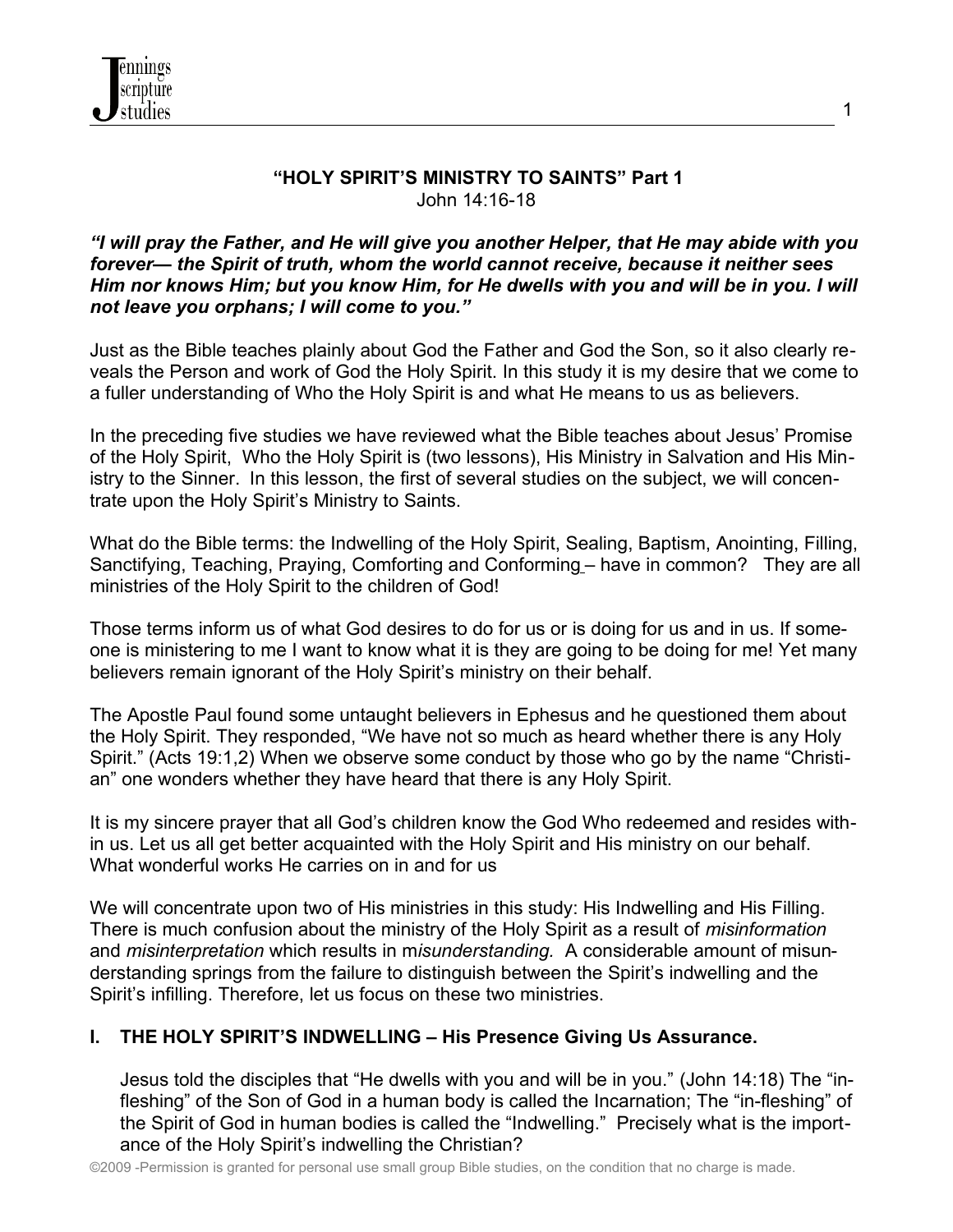

### **"HOLY SPIRIT'S MINISTRY TO SAINTS" Part 1** John 14:16-18

#### *"I will pray the Father, and He will give you another Helper, that He may abide with you forever— the Spirit of truth, whom the world cannot receive, because it neither sees Him nor knows Him; but you know Him, for He dwells with you and will be in you. I will not leave you orphans; I will come to you."*

Just as the Bible teaches plainly about God the Father and God the Son, so it also clearly reveals the Person and work of God the Holy Spirit. In this study it is my desire that we come to a fuller understanding of Who the Holy Spirit is and what He means to us as believers.

In the preceding five studies we have reviewed what the Bible teaches about Jesus' Promise of the Holy Spirit, Who the Holy Spirit is (two lessons), His Ministry in Salvation and His Ministry to the Sinner. In this lesson, the first of several studies on the subject, we will concentrate upon the Holy Spirit's Ministry to Saints.

What do the Bible terms: the Indwelling of the Holy Spirit, Sealing, Baptism, Anointing, Filling, Sanctifying, Teaching, Praying, Comforting and Conforming – have in common? They are all ministries of the Holy Spirit to the children of God!

Those terms inform us of what God desires to do for us or is doing for us and in us. If someone is ministering to me I want to know what it is they are going to be doing for me! Yet many believers remain ignorant of the Holy Spirit's ministry on their behalf.

The Apostle Paul found some untaught believers in Ephesus and he questioned them about the Holy Spirit. They responded, "We have not so much as heard whether there is any Holy Spirit." (Acts 19:1,2) When we observe some conduct by those who go by the name "Christian" one wonders whether they have heard that there is any Holy Spirit.

It is my sincere prayer that all God's children know the God Who redeemed and resides within us. Let us all get better acquainted with the Holy Spirit and His ministry on our behalf. What wonderful works He carries on in and for us

We will concentrate upon two of His ministries in this study: His Indwelling and His Filling. There is much confusion about the ministry of the Holy Spirit as a result of *misinformation* and *misinterpretation* which results in m*isunderstanding.* A considerable amount of misunderstanding springs from the failure to distinguish between the Spirit's indwelling and the Spirit's infilling. Therefore, let us focus on these two ministries.

## **I. THE HOLY SPIRIT'S INDWELLING – His Presence Giving Us Assurance.**

Jesus told the disciples that "He dwells with you and will be in you." (John 14:18) The "infleshing" of the Son of God in a human body is called the Incarnation; The "in-fleshing" of the Spirit of God in human bodies is called the "Indwelling." Precisely what is the importance of the Holy Spirit's indwelling the Christian?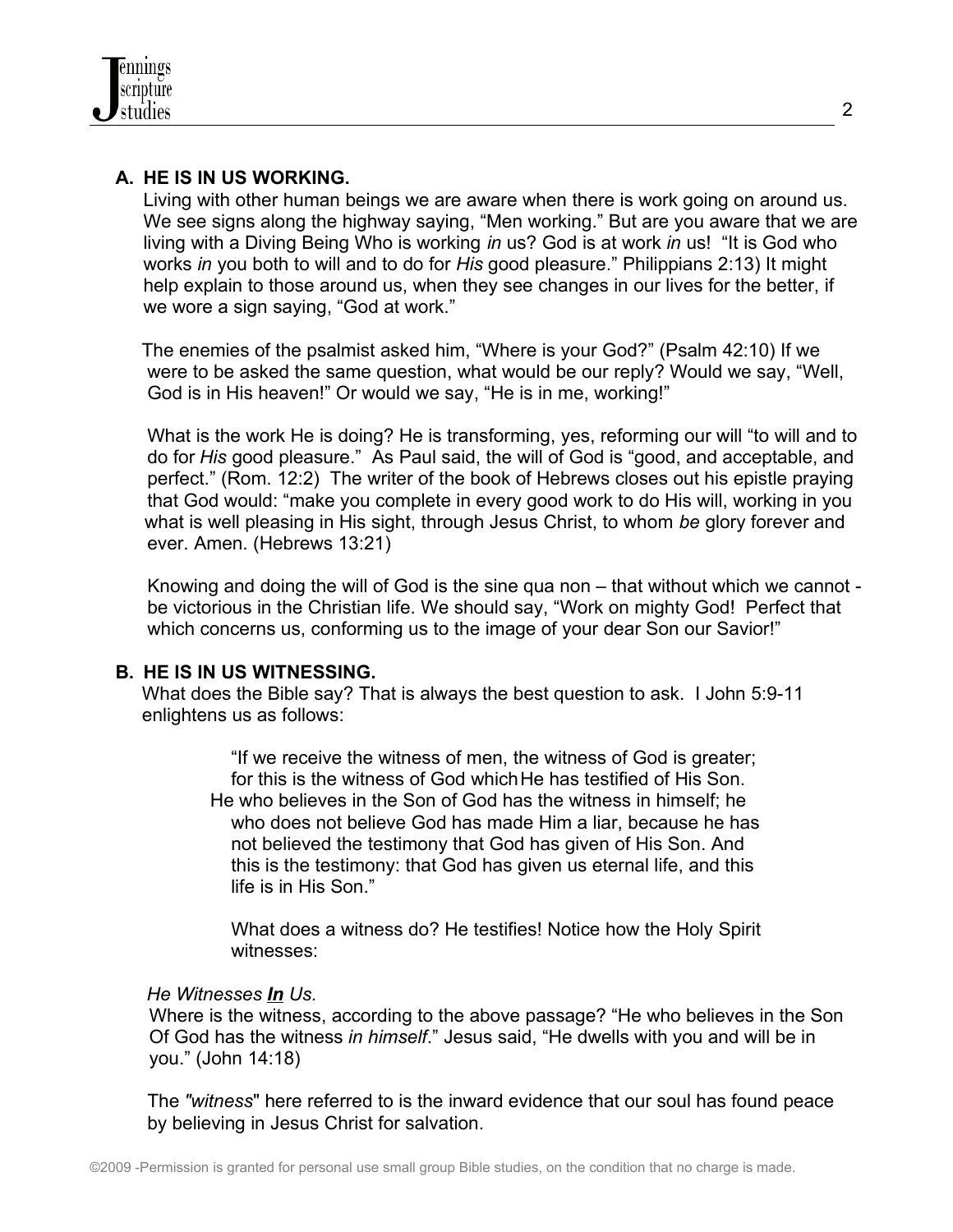## **A. HE IS IN US WORKING.**

Living with other human beings we are aware when there is work going on around us. We see signs along the highway saying, "Men working." But are you aware that we are living with a Diving Being Who is working *in* us? God is at work *in* us! "It is God who works *in* you both to will and to do for *His* good pleasure." Philippians 2:13) It might help explain to those around us, when they see changes in our lives for the better, if we wore a sign saying, "God at work."

The enemies of the psalmist asked him, "Where is your God?" (Psalm 42:10) If we were to be asked the same question, what would be our reply? Would we say, "Well, God is in His heaven!" Or would we say, "He is in me, working!"

 What is the work He is doing? He is transforming, yes, reforming our will "to will and to do for *His* good pleasure." As Paul said, the will of God is "good, and acceptable, and perfect." (Rom. 12:2) The writer of the book of Hebrews closes out his epistle praying that God would: "make you complete in every good work to do His will, working in you what is well pleasing in His sight, through Jesus Christ, to whom *be* glory forever and ever. Amen. (Hebrews 13:21)

 Knowing and doing the will of God is the sine qua non – that without which we cannot be victorious in the Christian life. We should say, "Work on mighty God! Perfect that which concerns us, conforming us to the image of your dear Son our Savior!"

### **B. HE IS IN US WITNESSING.**

 What does the Bible say? That is always the best question to ask. I John 5:9-11 enlightens us as follows:

 "If we receive the witness of men, the witness of God is greater; for this is the witness of God which He has testified of His Son. He who believes in the Son of God has the witness in himself; he who does not believe God has made Him a liar, because he has not believed the testimony that God has given of His Son. And this is the testimony: that God has given us eternal life, and this life is in His Son."

 What does a witness do? He testifies! Notice how the Holy Spirit witnesses:

### *He Witnesses In Us.*

 Where is the witness, according to the above passage? "He who believes in the Son Of God has the witness *in himself*." Jesus said, "He dwells with you and will be in you." (John 14:18)

 The *"witness*" here referred to is the inward evidence that our soul has found peace by believing in Jesus Christ for salvation.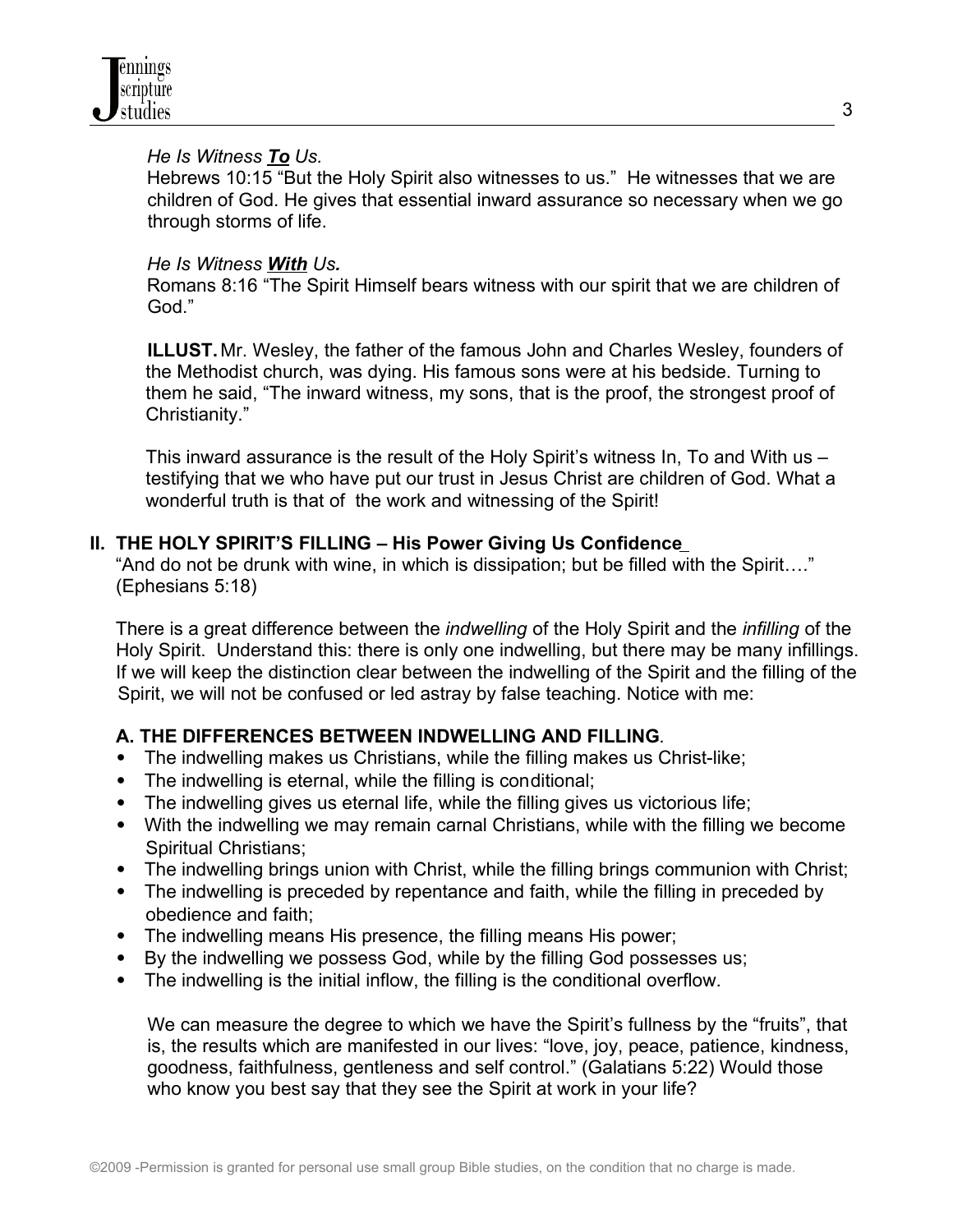### *He Is Witness To Us.*

Hebrews 10:15 "But the Holy Spirit also witnesses to us." He witnesses that we are children of God. He gives that essential inward assurance so necessary when we go through storms of life.

## *He Is Witness With Us.*

Romans 8:16 "The Spirit Himself bears witness with our spirit that we are children of God."

 **ILLUST.** Mr. Wesley, the father of the famous John and Charles Wesley, founders of the Methodist church, was dying. His famous sons were at his bedside. Turning to them he said, "The inward witness, my sons, that is the proof, the strongest proof of Christianity."

This inward assurance is the result of the Holy Spirit's witness In, To and With us – testifying that we who have put our trust in Jesus Christ are children of God. What a wonderful truth is that of the work and witnessing of the Spirit!

## **II. THE HOLY SPIRIT'S FILLING – His Power Giving Us Confidence**

"And do not be drunk with wine, in which is dissipation; but be filled with the Spirit…." (Ephesians 5:18)

There is a great difference between the *indwelling* of the Holy Spirit and the *infilling* of the Holy Spirit. Understand this: there is only one indwelling, but there may be many infillings. If we will keep the distinction clear between the indwelling of the Spirit and the filling of the Spirit, we will not be confused or led astray by false teaching. Notice with me:

# **A. THE DIFFERENCES BETWEEN INDWELLING AND FILLING**.

- The indwelling makes us Christians, while the filling makes us Christ-like;
- The indwelling is eternal, while the filling is conditional;
- The indwelling gives us eternal life, while the filling gives us victorious life;
- With the indwelling we may remain carnal Christians, while with the filling we become Spiritual Christians;
- The indwelling brings union with Christ, while the filling brings communion with Christ;
- The indwelling is preceded by repentance and faith, while the filling in preceded by obedience and faith;
- The indwelling means His presence, the filling means His power;
- By the indwelling we possess God, while by the filling God possesses us;
- The indwelling is the initial inflow, the filling is the conditional overflow.

 We can measure the degree to which we have the Spirit's fullness by the "fruits", that is, the results which are manifested in our lives: "love, joy, peace, patience, kindness, goodness, faithfulness, gentleness and self control." (Galatians 5:22) Would those who know you best say that they see the Spirit at work in your life?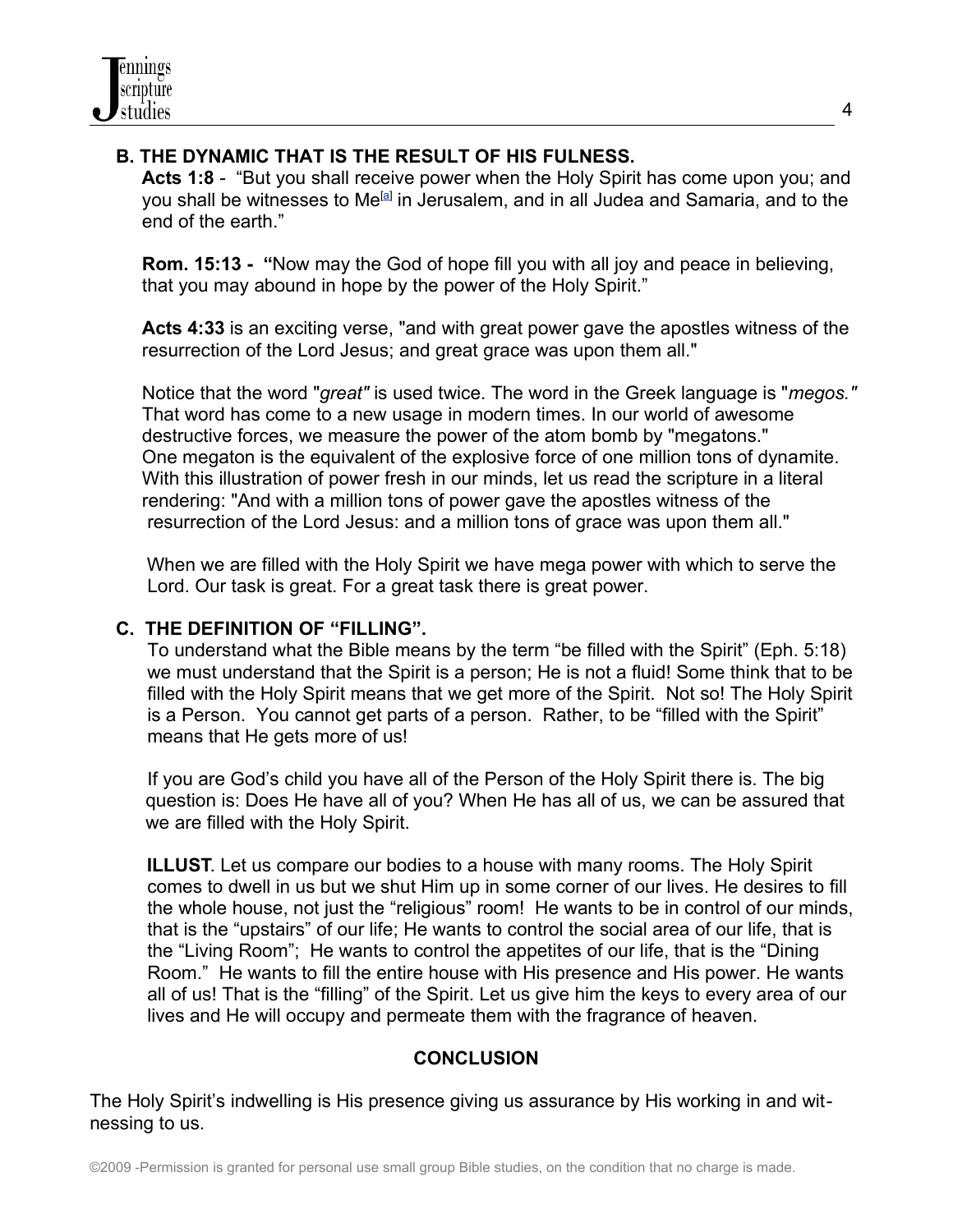# **B. THE DYNAMIC THAT IS THE RESULT OF HIS FULNESS.**

 **Acts 1:8** - "But you shall receive power when the Holy Spirit has come upon you; and you shall be witnesses to Me<sup>[\[a\]](http://www.biblegateway.com/passage/?search=Acts%201;&version=50;#fen-NKJV-26926a%23fen-NKJV-26926a)</sup> in Jerusalem, and in all Judea and Samaria, and to the end of the earth."

 **Rom. 15:13 - "**Now may the God of hope fill you with all joy and peace in believing, that you may abound in hope by the power of the Holy Spirit."

 **Acts 4:33** is an exciting verse, "and with great power gave the apostles witness of the resurrection of the Lord Jesus; and great grace was upon them all."

 Notice that the word "*great"* is used twice. The word in the Greek language is "*megos."* That word has come to a new usage in modern times. In our world of awesome destructive forces, we measure the power of the atom bomb by "megatons." One megaton is the equivalent of the explosive force of one million tons of dynamite. With this illustration of power fresh in our minds, let us read the scripture in a literal rendering: "And with a million tons of power gave the apostles witness of the resurrection of the Lord Jesus: and a million tons of grace was upon them all."

When we are filled with the Holy Spirit we have mega power with which to serve the Lord. Our task is great. For a great task there is great power.

## **C. THE DEFINITION OF "FILLING".**

 To understand what the Bible means by the term "be filled with the Spirit" (Eph. 5:18) we must understand that the Spirit is a person; He is not a fluid! Some think that to be filled with the Holy Spirit means that we get more of the Spirit. Not so! The Holy Spirit is a Person. You cannot get parts of a person. Rather, to be "filled with the Spirit" means that He gets more of us!

 If you are God's child you have all of the Person of the Holy Spirit there is. The big question is: Does He have all of you? When He has all of us, we can be assured that we are filled with the Holy Spirit.

 **ILLUST**. Let us compare our bodies to a house with many rooms. The Holy Spirit comes to dwell in us but we shut Him up in some corner of our lives. He desires to fill the whole house, not just the "religious" room! He wants to be in control of our minds, that is the "upstairs" of our life; He wants to control the social area of our life, that is the "Living Room"; He wants to control the appetites of our life, that is the "Dining Room." He wants to fill the entire house with His presence and His power. He wants all of us! That is the "filling" of the Spirit. Let us give him the keys to every area of our lives and He will occupy and permeate them with the fragrance of heaven.

# **CONCLUSION**

The Holy Spirit's indwelling is His presence giving us assurance by His working in and witnessing to us.